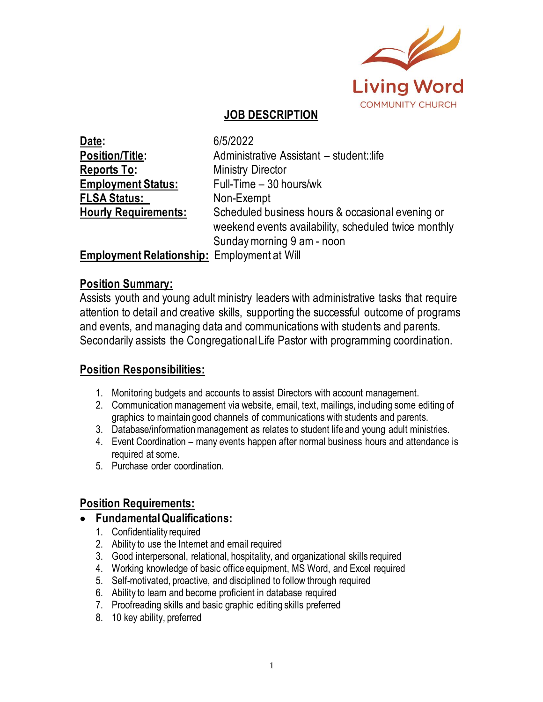

### **JOB DESCRIPTION**

| Date:                                              | 6/5/2022                                             |  |
|----------------------------------------------------|------------------------------------------------------|--|
| Position/Title:                                    | Administrative Assistant - student::life             |  |
| <u> Reports To:</u>                                | <b>Ministry Director</b>                             |  |
| <b>Employment Status:</b>                          | Full-Time - 30 hours/wk                              |  |
| <b>FLSA Status:</b>                                | Non-Exempt                                           |  |
| <b>Hourly Requirements:</b>                        | Scheduled business hours & occasional evening or     |  |
|                                                    | weekend events availability, scheduled twice monthly |  |
|                                                    | Sunday morning 9 am - noon                           |  |
| <b>Employment Relationship:</b> Employment at Will |                                                      |  |

### **Position Summary:**

Assists youth and young adult ministry leaders with administrative tasks that require attention to detail and creative skills, supporting the successful outcome of programs and events, and managing data and communications with students and parents. Secondarily assists the Congregational Life Pastor with programming coordination.

# **Position Responsibilities:**

- 1. Monitoring budgets and accounts to assist Directors with account management.
- 2. Communication management via website, email, text, mailings, including some editing of graphics to maintain good channels of communications with students and parents.
- 3. Database/information management as relates to student life and young adult ministries.
- 4. Event Coordination many events happen after normal business hours and attendance is required at some.
- 5. Purchase order coordination.

# **Position Requirements:**

#### • **Fundamental Qualifications:**

- 1. Confidentiality required
- 2. Ability to use the Internet and email required
- 3. Good interpersonal, relational, hospitality, and organizational skills required
- 4. Working knowledge of basic office equipment, MS Word, and Excel required
- 5. Self-motivated, proactive, and disciplined to follow through required
- 6. Ability to learn and become proficient in database required
- 7. Proofreading skills and basic graphic editing skills preferred
- 8. 10 key ability, preferred